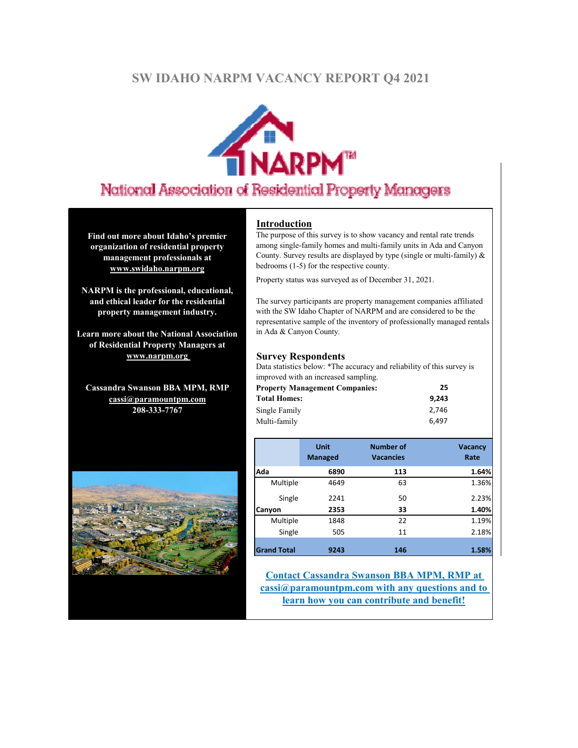# **SW IDAHO NARPM VACANCY REPORT Q4 2021**



# National Association of Residential Property Managers

**Find out more about Idaho's premier organization of residential property management professionals at www.swidaho.narpm.org**

**NARPM is the professional, educational, and ethical leader for the residential property management industry.**

**Learn more about the National Association of Residential Property Managers at www.narpm.org** 

**Cassandra Swanson BBA MPM, RMP cassi@paramountpm.com 208-333-7767**



#### **Introduction**

The purpose of this survey is to show vacancy and rental rate trends among single-family homes and multi-family units in Ada and Canyon County. Survey results are displayed by type (single or multi-family)  $\&$ bedrooms (1-5) for the respective county.

Property status was surveyed as of December 31, 2021.

The survey participants are property management companies affiliated with the SW Idaho Chapter of NARPM and are considered to be the representative sample of the inventory of professionally managed rentals in Ada & Canyon County.

#### **Survey Respondents**

Data statistics below: \*The accuracy and reliability of this survey is improved with an increased sampling.

| <b>Property Management Companies:</b> | 25    |
|---------------------------------------|-------|
| <b>Total Homes:</b>                   | 9.243 |
| Single Family                         | 2.746 |
| Multi-family                          | 6.497 |

|                    | <b>Unit</b><br><b>Managed</b> | <b>Number of</b><br><b>Vacancies</b> | <b>Vacancy</b><br>Rate |
|--------------------|-------------------------------|--------------------------------------|------------------------|
| Ada                | 6890                          | 113                                  | 1.64%                  |
| Multiple           | 4649                          | 63                                   | 1.36%                  |
| Single             | 2241                          | 50                                   | 2.23%                  |
| Canyon             | 2353                          | 33                                   | 1.40%                  |
| Multiple           | 1848                          | 22                                   | 1.19%                  |
| Single             | 505                           | 11                                   | 2.18%                  |
|                    |                               |                                      |                        |
| <b>Grand Total</b> | 9243                          | 146                                  | 1.58%                  |

**Contact Cassandra Swanson BBA MPM, RMP at cassi@paramountpm.com with any questions and to learn how you can contribute and benefit!**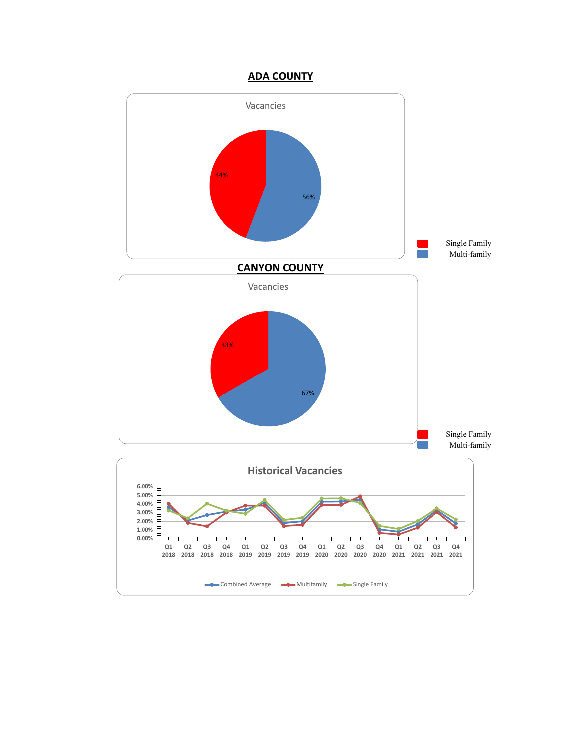## **ADA COUNTY**

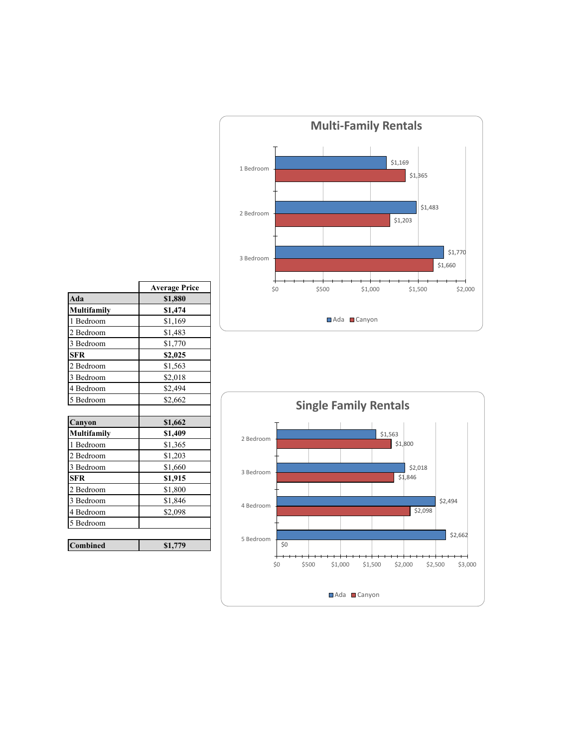

|             | <b>Average Price</b> |
|-------------|----------------------|
| Ada         | \$1,880              |
| Multifamily | \$1,474              |
| 1 Bedroom   | \$1,169              |
| 2 Bedroom   | \$1,483              |
| 3 Bedroom   | \$1,770              |
| <b>SFR</b>  | \$2,025              |
| 2 Bedroom   | \$1,563              |
| 3 Bedroom   | \$2,018              |
| 4 Bedroom   | \$2,494              |
| 5 Bedroom   | \$2,662              |
|             |                      |
| Canyon      | \$1,662              |
| Multifamily | \$1,409              |
| 1 Bedroom   | \$1,365              |
| 2 Bedroom   | \$1,203              |
| 3 Bedroom   | \$1,660              |
| <b>SFR</b>  | \$1,915              |
| 2 Bedroom   | \$1,800              |
| 3 Bedroom   | \$1,846              |
| 4 Bedroom   | \$2,098              |
| 5 Bedroom   |                      |
| Combined    | \$1,779              |